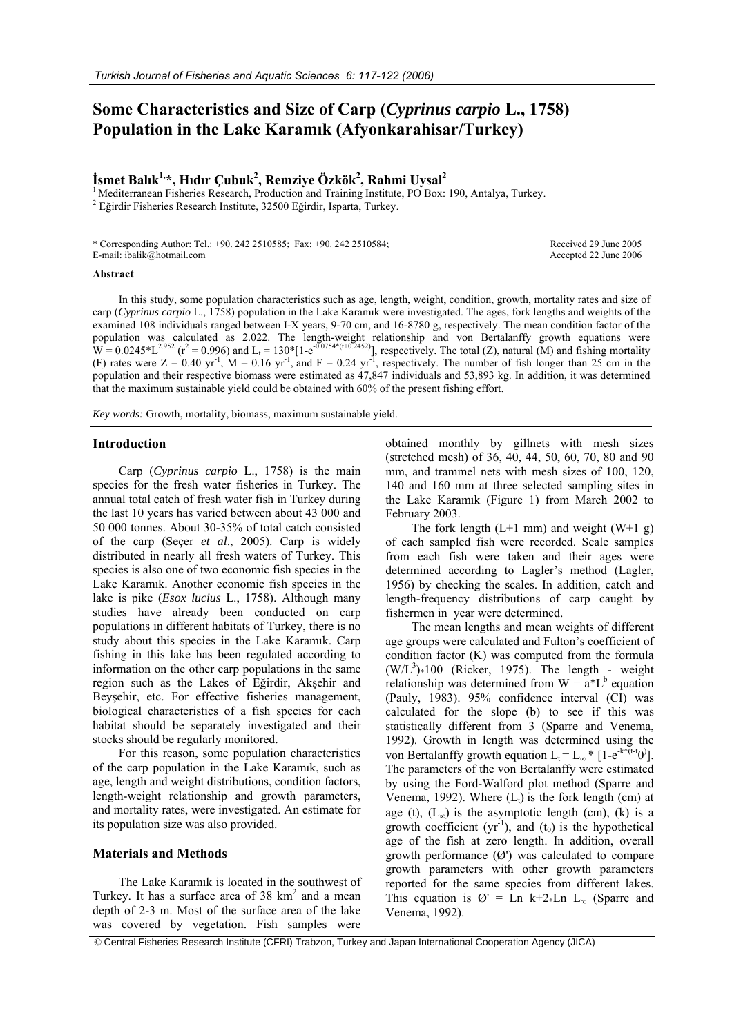# **Some Characteristics and Size of Carp (***Cyprinus carpio* **L., 1758) Population in the Lake Karamık (Afyonkarahisar/Turkey)**

## $\dot{\mathbf{I}}$ smet Balık<sup>1,</sup>\*, Hıdır Çubuk<sup>2</sup>, Remziye Özkök<sup>2</sup>, Rahmi Uysal<sup>2</sup>

<sup>1</sup> Mediterranean Fisheries Research, Production and Training Institute, PO Box: 190, Antalya, Turkey. Eğirdir Fisheries Research Institute, 32500 Eğirdir, Isparta, Turkey.

| * Corresponding Author: Tel.: +90. 242 2510585; Fax: +90. 242 2510584; | Received 29 June 2005 |
|------------------------------------------------------------------------|-----------------------|
| E-mail: ibalik@hotmail.com                                             | Accepted 22 June 2006 |

#### **Abstract**

In this study, some population characteristics such as age, length, weight, condition, growth, mortality rates and size of carp (*Cyprinus carpio* L., 1758) population in the Lake Karamık were investigated. The ages, fork lengths and weights of the examined 108 individuals ranged between I-X years, 9-70 cm, and 16-8780 g, respectively. The mean condition factor of the population was calculated as 2.022. The length-weight relationship and von Bertalanffy growth equations were  $W = 0.0245 * L^{2.952}$  ( $r^2 = 0.996$ ) and  $L_t = 130 * [1 - e^{0.0754 * (t + 0.2452)}]$ , respectively. The total (Z), natural (M) and fishing mortality (F) rates were  $Z = 0.40$  yr<sup>-1</sup>, M = 0.16 yr<sup>-1</sup>, and F = 0.24 yr<sup>-1</sup>, respectively. The number of fish longer than 25 cm in the population and their respective biomass were estimated as 47,847 individuals and 53,893 kg. In addition, it was determined that the maximum sustainable yield could be obtained with 60% of the present fishing effort.

*Key words:* Growth, mortality, biomass, maximum sustainable yield.

## **Introduction**

Carp (*Cyprinus carpio* L., 1758) is the main species for the fresh water fisheries in Turkey. The annual total catch of fresh water fish in Turkey during the last 10 years has varied between about 43 000 and 50 000 tonnes. About 30-35% of total catch consisted of the carp (Seçer *et al*., 2005). Carp is widely distributed in nearly all fresh waters of Turkey. This species is also one of two economic fish species in the Lake Karamık. Another economic fish species in the lake is pike (*Esox lucius* L., 1758). Although many studies have already been conducted on carp populations in different habitats of Turkey, there is no study about this species in the Lake Karamık. Carp fishing in this lake has been regulated according to information on the other carp populations in the same region such as the Lakes of Eğirdir, Akşehir and Beyşehir, etc. For effective fisheries management, biological characteristics of a fish species for each habitat should be separately investigated and their stocks should be regularly monitored.

For this reason, some population characteristics of the carp population in the Lake Karamık, such as age, length and weight distributions, condition factors, length-weight relationship and growth parameters, and mortality rates, were investigated. An estimate for its population size was also provided.

## **Materials and Methods**

The Lake Karamık is located in the southwest of Turkey. It has a surface area of  $38 \text{ km}^2$  and a mean depth of 2-3 m. Most of the surface area of the lake was covered by vegetation. Fish samples were

obtained monthly by gillnets with mesh sizes (stretched mesh) of 36, 40, 44, 50, 60, 70, 80 and 90 mm, and trammel nets with mesh sizes of 100, 120, 140 and 160 mm at three selected sampling sites in the Lake Karamık (Figure 1) from March 2002 to February 2003.

The fork length (L $\pm$ 1 mm) and weight (W $\pm$ 1 g) of each sampled fish were recorded. Scale samples from each fish were taken and their ages were determined according to Lagler's method (Lagler, 1956) by checking the scales. In addition, catch and length-frequency distributions of carp caught by fishermen in year were determined.

The mean lengths and mean weights of different age groups were calculated and Fulton's coefficient of condition factor (K) was computed from the formula  $(W/L<sup>3</sup>)*100$  (Ricker, 1975). The length - weight relationship was determined from  $W = a^*L^b$  equation (Pauly, 1983). 95% confidence interval (CI) was calculated for the slope (b) to see if this was statistically different from 3 (Sparre and Venema, 1992). Growth in length was determined using the von Bertalanffy growth equation  $L_t = L_{\infty} * [1 - e^{-k^*(t-t_0)}].$ The parameters of the von Bertalanffy were estimated by using the Ford-Walford plot method (Sparre and Venema, 1992). Where  $(L_t)$  is the fork length (cm) at age (t),  $(L_{\infty})$  is the asymptotic length (cm), (k) is a growth coefficient ( $yr^{-1}$ ), and ( $t_0$ ) is the hypothetical age of the fish at zero length. In addition, overall growth performance  $(\emptyset)$  was calculated to compare growth parameters with other growth parameters reported for the same species from different lakes. This equation is  $\varnothing$ ' = Ln k+2\*Ln L<sub>∞</sub> (Sparre and Venema, 1992).

© Central Fisheries Research Institute (CFRI) Trabzon, Turkey and Japan International Cooperation Agency (JICA)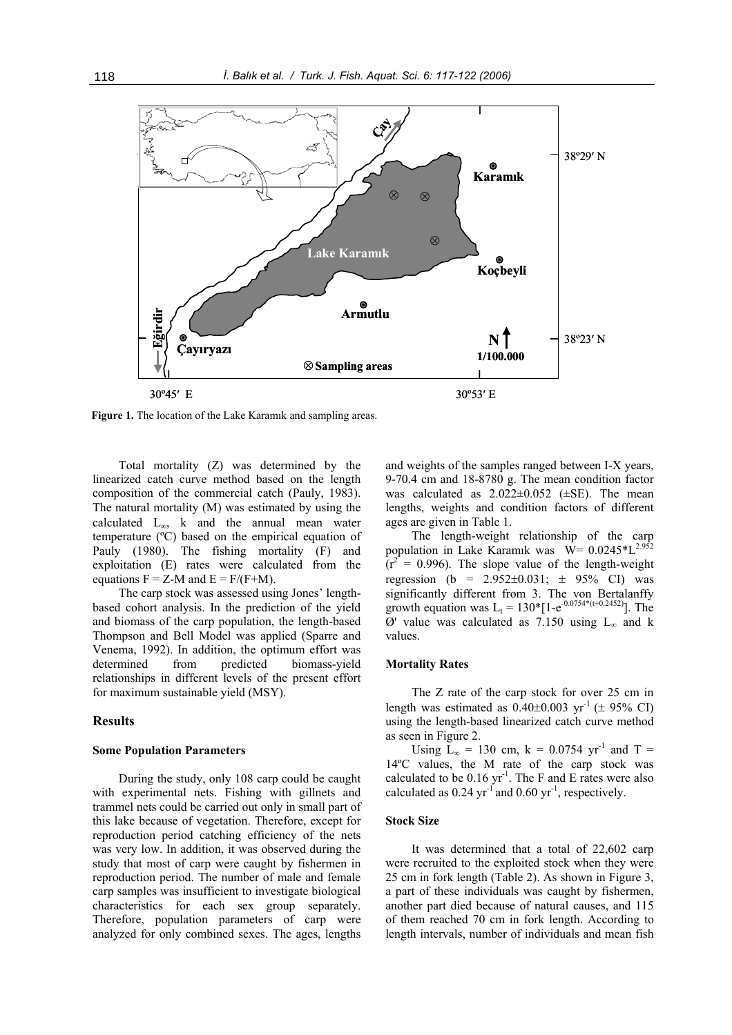

**Figure 1.** The location of the Lake Karamık and sampling areas.

Total mortality (Z) was determined by the linearized catch curve method based on the length composition of the commercial catch (Pauly, 1983). The natural mortality (M) was estimated by using the calculated  $L_{\infty}$ , k and the annual mean water temperature (ºC) based on the empirical equation of Pauly (1980). The fishing mortality (F) and exploitation (E) rates were calculated from the equations  $F = Z-M$  and  $E = F/(F+M)$ .

The carp stock was assessed using Jones' lengthbased cohort analysis. In the prediction of the yield and biomass of the carp population, the length-based Thompson and Bell Model was applied (Sparre and Venema, 1992). In addition, the optimum effort was determined from predicted biomass-yield relationships in different levels of the present effort for maximum sustainable yield (MSY).

## **Results**

#### **Some Population Parameters**

During the study, only 108 carp could be caught with experimental nets. Fishing with gillnets and trammel nets could be carried out only in small part of this lake because of vegetation. Therefore, except for reproduction period catching efficiency of the nets was very low. In addition, it was observed during the study that most of carp were caught by fishermen in reproduction period. The number of male and female carp samples was insufficient to investigate biological characteristics for each sex group separately. Therefore, population parameters of carp were analyzed for only combined sexes. The ages, lengths

and weights of the samples ranged between I-X years, 9-70.4 cm and 18-8780 g. The mean condition factor was calculated as  $2.022 \pm 0.052$  ( $\pm$ SE). The mean lengths, weights and condition factors of different ages are given in Table 1.

The length-weight relationship of the carp population in Lake Karamık was  $\overline{W}$  = 0.0245\*L<sup>2.952</sup>  $(r^2 = 0.996)$ . The slope value of the length-weight regression (b =  $2.952 \pm 0.031$ ;  $\pm 95\%$  CI) was significantly different from 3. The von Bertalanffy growth equation was L<sub>t</sub> = 130\*[1-e<sup>-0.0754\*(t+0.2452)</sup>]. The  $\varnothing$ ' value was calculated as 7.150 using L<sub>∞</sub> and k values.

## **Mortality Rates**

The Z rate of the carp stock for over 25 cm in length was estimated as  $0.40\pm0.003$  yr<sup>-1</sup> ( $\pm$  95% CI) using the length-based linearized catch curve method as seen in Figure 2.

Using  $\bar{L}_{\infty}$  = 130 cm, k = 0.0754 yr<sup>-1</sup> and T = 14ºC values, the M rate of the carp stock was calculated to be  $0.16 \text{ yr}^{-1}$ . The F and E rates were also calculated as  $0.24$  yr<sup>-1</sup> and  $0.60$  yr<sup>-1</sup>, respectively.

#### **Stock Size**

It was determined that a total of 22,602 carp were recruited to the exploited stock when they were 25 cm in fork length (Table 2). As shown in Figure 3, a part of these individuals was caught by fishermen, another part died because of natural causes, and 115 of them reached 70 cm in fork length. According to length intervals, number of individuals and mean fish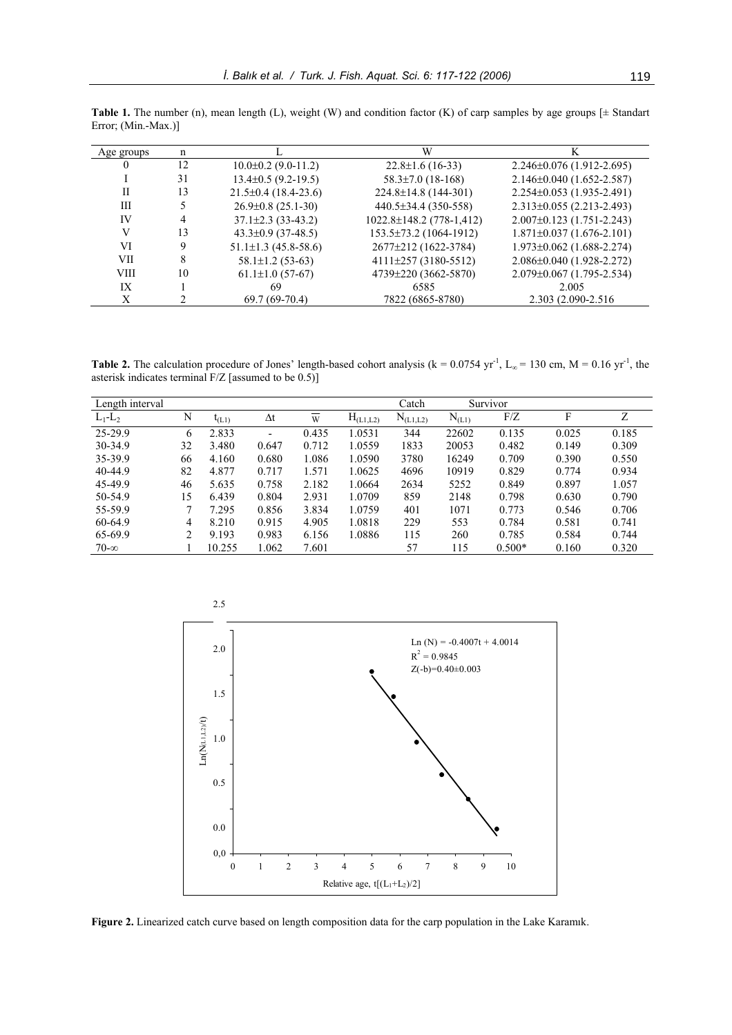| Age groups  | n  |                            | W                              |                                 |
|-------------|----|----------------------------|--------------------------------|---------------------------------|
| $\theta$    | 12 | $10.0\pm0.2$ (9.0-11.2)    | $22.8 \pm 1.6$ (16-33)         | $2.246\pm0.076(1.912-2.695)$    |
|             | 31 | $13.4\pm0.5$ (9.2-19.5)    | $58.3 \pm 7.0$ (18-168)        | $2.146 \pm 0.040$ (1.652-2.587) |
| П           | 13 | $21.5\pm0.4(18.4-23.6)$    | 224.8±14.8 (144-301)           | 2.254±0.053 (1.935-2.491)       |
| Ш           |    | $26.9\pm0.8(25.1-30)$      | 440.5±34.4 (350-558)           | $2.313\pm0.055$ (2.213-2.493)   |
| IV          | 4  | $37.1 \pm 2.3$ (33-43.2)   | $1022.8 \pm 148.2$ (778-1,412) | $2.007\pm0.123(1.751-2.243)$    |
| V           | 13 | $43.3 \pm 0.9$ (37-48.5)   | 153.5±73.2 (1064-1912)         | $1.871\pm0.037(1.676-2.101)$    |
| VI          | 9  | $51.1 \pm 1.3$ (45.8-58.6) | 2677±212 (1622-3784)           | $1.973 \pm 0.062$ (1.688-2.274) |
| VII         | 8  | $58.1 \pm 1.2$ (53-63)     | $4111\pm 257$ (3180-5512)      | 2.086±0.040 (1.928-2.272)       |
| <b>VIII</b> | 10 | $61.1 \pm 1.0$ (57-67)     | 4739±220 (3662-5870)           | 2.079±0.067 (1.795-2.534)       |
| IX          |    | 69                         | 6585                           | 2.005                           |
| X           |    | $69.7(69-70.4)$            | 7822 (6865-8780)               | 2.303 (2.090-2.516)             |

**Table 1.** The number (n), mean length (L), weight (W) and condition factor (K) of carp samples by age groups  $[\pm$  Standart Error; (Min.-Max.)]

**Table 2.** The calculation procedure of Jones' length-based cohort analysis ( $k = 0.0754$  yr<sup>-1</sup>, L<sub>∞</sub> = 130 cm, M = 0.16 yr<sup>-1</sup>, the asterisk indicates terminal F/Z [assumed to be 0.5)]

| Length interval |    |        |                          |       |               | Catch         |            | Survivor |       |       |
|-----------------|----|--------|--------------------------|-------|---------------|---------------|------------|----------|-------|-------|
| $L_1-L_2$       | N  | I(L1)  | $\Delta t$               | W     | $H_{(L1,L2)}$ | $N_{(L1,L2)}$ | $N_{(L1)}$ | F/Z      | F     | Z     |
| 25-29.9         | 6  | 2.833  | $\overline{\phantom{0}}$ | 0.435 | 1.0531        | 344           | 22602      | 0.135    | 0.025 | 0.185 |
| 30-34.9         | 32 | 3.480  | 0.647                    | 0.712 | 1.0559        | 1833          | 20053      | 0.482    | 0.149 | 0.309 |
| 35-39.9         | 66 | 4.160  | 0.680                    | 1.086 | 1.0590        | 3780          | 16249      | 0.709    | 0.390 | 0.550 |
| 40-44.9         | 82 | 4.877  | 0.717                    | 1.571 | 1.0625        | 4696          | 10919      | 0.829    | 0.774 | 0.934 |
| 45-49.9         | 46 | 5.635  | 0.758                    | 2.182 | 1.0664        | 2634          | 5252       | 0.849    | 0.897 | 1.057 |
| 50-54.9         | 15 | 6.439  | 0.804                    | 2.931 | 1.0709        | 859           | 2148       | 0.798    | 0.630 | 0.790 |
| 55-59.9         |    | 7.295  | 0.856                    | 3.834 | 1.0759        | 401           | 1071       | 0.773    | 0.546 | 0.706 |
| 60-64.9         | 4  | 8.210  | 0.915                    | 4.905 | 1.0818        | 229           | 553        | 0.784    | 0.581 | 0.741 |
| 65-69.9         | 2  | 9.193  | 0.983                    | 6.156 | 1.0886        | 115           | 260        | 0.785    | 0.584 | 0.744 |
| $70 - \infty$   |    | 10.255 | 1.062                    | 7.601 |               | 57            | 115        | $0.500*$ | 0.160 | 0.320 |



Figure 2. Linearized catch curve based on length composition data for the carp population in the Lake Karamık.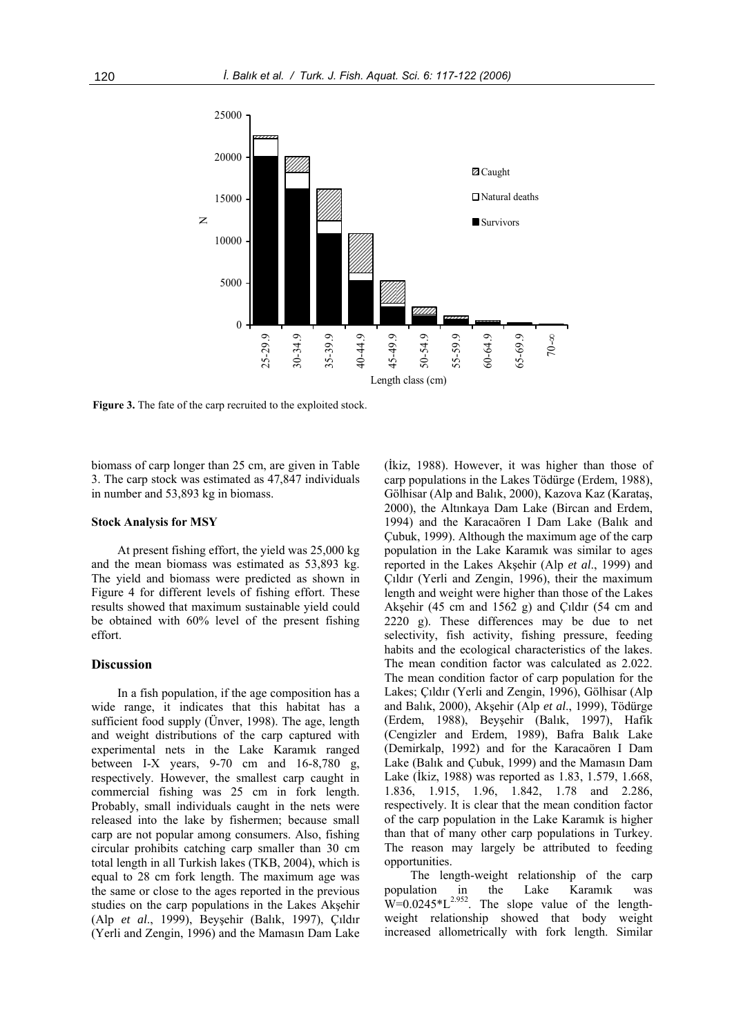

**Figure 3.** The fate of the carp recruited to the exploited stock.

biomass of carp longer than 25 cm, are given in Table 3. The carp stock was estimated as 47,847 individuals in number and 53,893 kg in biomass.

## **Stock Analysis for MSY**

At present fishing effort, the yield was 25,000 kg and the mean biomass was estimated as 53,893 kg. The yield and biomass were predicted as shown in Figure 4 for different levels of fishing effort. These results showed that maximum sustainable yield could be obtained with 60% level of the present fishing effort.

## **Discussion**

In a fish population, if the age composition has a wide range, it indicates that this habitat has a sufficient food supply (Ünver, 1998). The age, length and weight distributions of the carp captured with experimental nets in the Lake Karamık ranged between I-X years,  $9-70$  cm and  $16-8,780$  g, respectively. However, the smallest carp caught in commercial fishing was 25 cm in fork length. Probably, small individuals caught in the nets were released into the lake by fishermen; because small carp are not popular among consumers. Also, fishing circular prohibits catching carp smaller than 30 cm total length in all Turkish lakes (TKB, 2004), which is equal to 28 cm fork length. The maximum age was the same or close to the ages reported in the previous studies on the carp populations in the Lakes Akşehir (Alp *et al*., 1999), Beyşehir (Balık, 1997), Çıldır (Yerli and Zengin, 1996) and the Mamasın Dam Lake (İkiz, 1988). However, it was higher than those of carp populations in the Lakes Tödürge (Erdem, 1988), Gölhisar (Alp and Balık, 2000), Kazova Kaz (Karataş, 2000), the Altınkaya Dam Lake (Bircan and Erdem, 1994) and the Karacaören I Dam Lake (Balık and Çubuk, 1999). Although the maximum age of the carp population in the Lake Karamık was similar to ages reported in the Lakes Akşehir (Alp *et al*., 1999) and Çıldır (Yerli and Zengin, 1996), their the maximum length and weight were higher than those of the Lakes Akşehir (45 cm and 1562 g) and Çıldır (54 cm and 2220 g). These differences may be due to net selectivity, fish activity, fishing pressure, feeding habits and the ecological characteristics of the lakes. The mean condition factor was calculated as 2.022. The mean condition factor of carp population for the Lakes; Çıldır (Yerli and Zengin, 1996), Gölhisar (Alp and Balık, 2000), Akşehir (Alp *et al*., 1999), Tödürge (Erdem, 1988), Beyşehir (Balık, 1997), Hafik (Cengizler and Erdem, 1989), Bafra Balık Lake (Demirkalp, 1992) and for the Karacaören I Dam Lake (Balık and Çubuk, 1999) and the Mamasın Dam Lake (İkiz, 1988) was reported as 1.83, 1.579, 1.668, 1.836, 1.915, 1.96, 1.842, 1.78 and 2.286, respectively. It is clear that the mean condition factor of the carp population in the Lake Karamık is higher than that of many other carp populations in Turkey. The reason may largely be attributed to feeding opportunities.

The length-weight relationship of the carp population in the Lake Karamık was  $W=0.0245 \times L^{2.952}$ . The slope value of the lengthweight relationship showed that body weight increased allometrically with fork length. Similar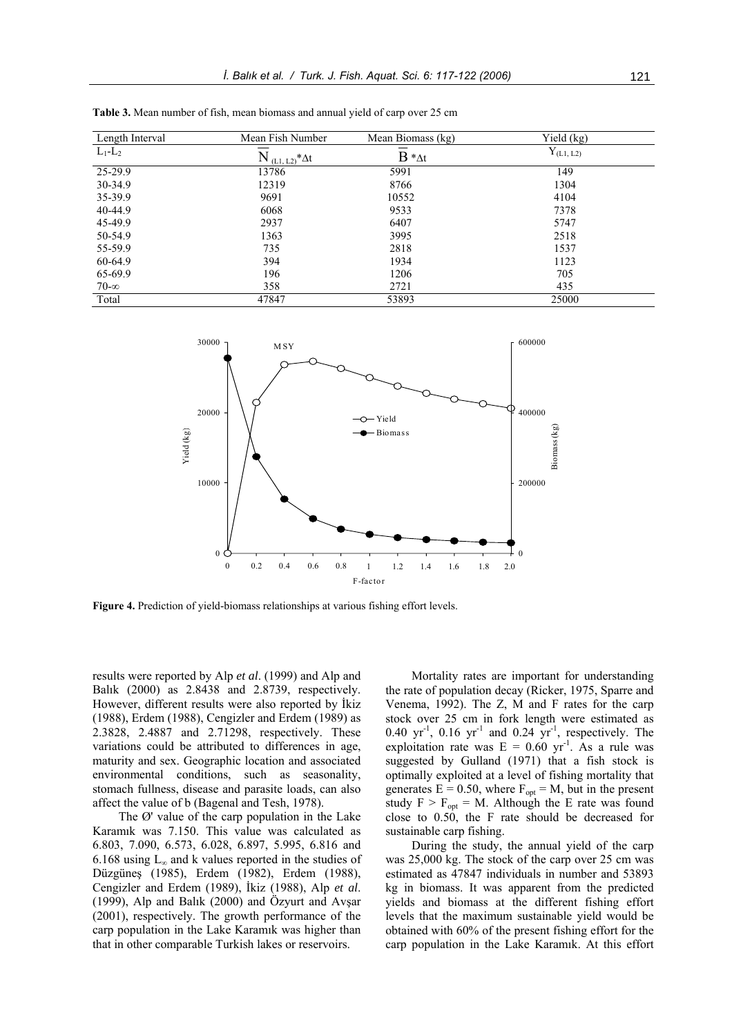| Length Interval | Mean Fish Number          | Mean Biomass (kg) | Yield (kg)     |
|-----------------|---------------------------|-------------------|----------------|
| $L_1-L_2$       | $N_{(L1, L2)}$ $\Delta t$ | $B * _{\Delta t}$ | $Y_{(L1, L2)}$ |
| $25-29.9$       | 13786                     | 5991              | 149            |
| 30-34.9         | 12319                     | 8766              | 1304           |
| 35-39.9         | 9691                      | 10552             | 4104           |
| 40-44.9         | 6068                      | 9533              | 7378           |
| 45-49.9         | 2937                      | 6407              | 5747           |
| 50-54.9         | 1363                      | 3995              | 2518           |
| 55-59.9         | 735                       | 2818              | 1537           |
| 60-64.9         | 394                       | 1934              | 1123           |
| 65-69.9         | 196                       | 1206              | 705            |
| $70 - \infty$   | 358                       | 2721              | 435            |
| Total           | 47847                     | 53893             | 25000          |

**Table 3.** Mean number of fish, mean biomass and annual yield of carp over 25 cm



**Figure 4.** Prediction of yield-biomass relationships at various fishing effort levels.

results were reported by Alp *et al*. (1999) and Alp and Balık (2000) as 2.8438 and 2.8739, respectively. However, different results were also reported by İkiz (1988), Erdem (1988), Cengizler and Erdem (1989) as 2.3828, 2.4887 and 2.71298, respectively. These variations could be attributed to differences in age, maturity and sex. Geographic location and associated environmental conditions, such as seasonality, stomach fullness, disease and parasite loads, can also affect the value of b (Bagenal and Tesh, 1978).

The Ø' value of the carp population in the Lake Karamık was 7.150. This value was calculated as 6.803, 7.090, 6.573, 6.028, 6.897, 5.995, 6.816 and 6.168 using  $L_{\infty}$  and k values reported in the studies of Düzgüneş (1985), Erdem (1982), Erdem (1988), Cengizler and Erdem (1989), İkiz (1988), Alp *et al*. (1999), Alp and Balık (2000) and Özyurt and Avşar (2001), respectively. The growth performance of the carp population in the Lake Karamık was higher than that in other comparable Turkish lakes or reservoirs.

Mortality rates are important for understanding the rate of population decay (Ricker, 1975, Sparre and Venema, 1992). The Z, M and F rates for the carp stock over 25 cm in fork length were estimated as 0.40  $yr^{-1}$ , 0.16  $yr^{-1}$  and 0.24  $yr^{-1}$ , respectively. The exploitation rate was  $E = 0.60$  yr<sup>-1</sup>. As a rule was suggested by Gulland (1971) that a fish stock is optimally exploited at a level of fishing mortality that generates  $E = 0.50$ , where  $F_{opt} = M$ , but in the present study  $F > F_{opt} = M$ . Although the E rate was found close to 0.50, the F rate should be decreased for sustainable carp fishing.

During the study, the annual yield of the carp was 25,000 kg. The stock of the carp over 25 cm was estimated as 47847 individuals in number and 53893 kg in biomass. It was apparent from the predicted yields and biomass at the different fishing effort levels that the maximum sustainable yield would be obtained with 60% of the present fishing effort for the carp population in the Lake Karamık. At this effort